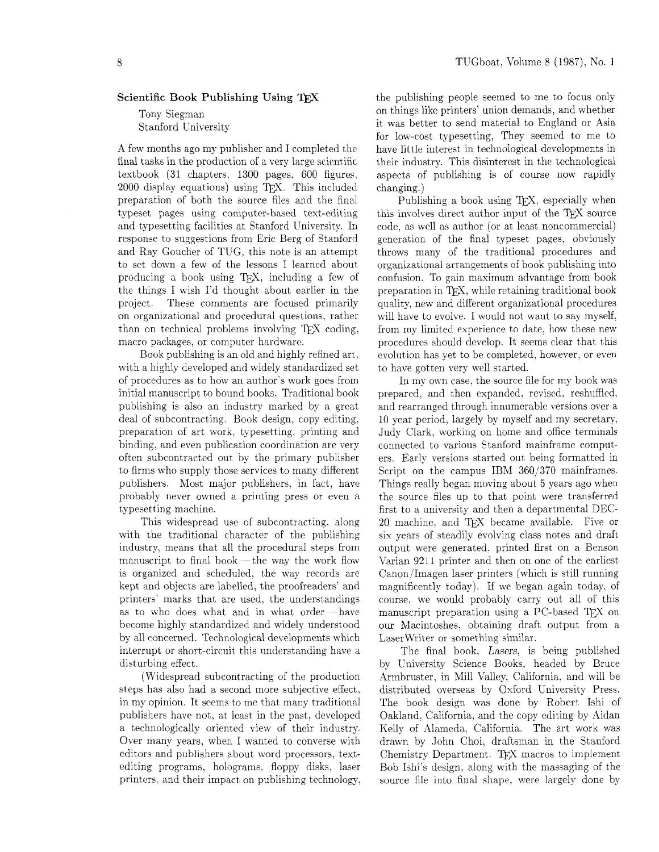## **Scientific Book Publishing Using TFX**

Tony Siegman Stanford University

A few months ago my publisher and I completed the final tasks in the production of a very large scientific textbook (31 chapters. 1300 pages. 600 figures,  $2000$  display equations) using T<sub>F</sub>X. This included preparation of both the source files and the final typeset pages using computer-based text-editing and typesetting facilities at Stanford University. In response to suggestions from Eric Berg of Stanford and Ray Goucher of TUG, this note is an attempt to set down a few of the lessons I learned about producing a book using TEX, including a few of the things I wish I'd thought about earlier in the project. These comments are focused primarily on organizational and procedural questions, rather than on technical problems involving TEX coding, macro packages. or computer hardware.

Book publishing is an old and highly refined art, with a highly developed and widely standardized set of procedures as to how an author's work goes from initial manuscript to bound books. Traditional book publishing is also an industry marked by a great deal of subcontracting. Book design, copy editing, preparation of art work. typesetting. printing and binding, and even publication coordination are very often subcontracted out by the primary publisher to firms who supply those services to many different publishers. Most major publishers. in fact, have probably never owned a printing press or even a typesetting machine.

This widespread use of subcontracting. along with the traditional character of the publishing industry, means that all the procedural steps from with the traditional character of the publishing<br>industry, means that all the procedural steps from<br>manuscript to final book — the way the work flow is organized and scheduled, the way records are kept and objects are labelled. the proofreaders' and printers' marks that are used. the understandings as to who does what and in what order-have become highly standardized and widely understood by all concerned. Technological developments which interrupt or short-circuit this understanding have a disturbing effect.

(Widespread subcontracting of the production steps has also had a second more subjective effect. in my opinion. It seems to me that many traditional publishers have not, at least in the past. developed a technologically oriented view of their industry. Over many years, when I wanted to converse with editors and publishers about word processors, textediting programs, holograms, floppy disks, laser printers. and their impact on publishing technology, the publishing people seemed to me to focus only on things like printers' union demands, and whether it was better to send material to England or Asia for low-cost typesetting, They seemed to me to have little interest in technological developments in their industry. This disinterest in the technological aspects of publishing is of course now rapidly changing.)

Publishing a book using TEX, especially when this involves direct author input of the TFX source code, as well as author (or at least noncommercial) generation of the final typeset pages, obviously throws many of the traditional procedures and organizational arrangements of book publishing into confusion. To gain maximum advantage from book preparation in TFX, while retaining traditional book quality. new and different organizational procedures will have to evolve. I would not want to say myself, from my limited experience to date, how these new procedures should develop. It seems clear that this evolution has yet to be completed, however, or even to have gotten very well started.

In my own case, the source file for my book was prepared, and then expanded, revised. reshuffled. and rearranged through innumerable versions over a 10 year period. largely by myself and my secretary, Judy Clark. working on home and office terminals connected to various Stanford mainframe computers. Early versions started out being formatted in Script on the campus IBM  $360/370$  mainframes. Things really began moving about 5 years ago when the source files up to that point were transferred first to a university and then a departmental DEC-20 machine, and TFX became available. Five or six years of steadily evolving class notes and draft output were generated. printed first on a Benson Varian 9211 printer and then on one of the earliest Canon/Imagen laser printers (which is still running magnificently today). If we began again today, of course, we would probably carry out all of this manuscript preparation using a PC-based TFX on our Macintoshes. obtaining draft output from a Laser Writer or something similar.

The final book. Lasers. is being published by University Science Books, headed by Bruce Armbruster, in Mill Valley, California, and will be distributed overseas by Oxford University Press. The book design was done by Robert Ishi of Oakland, California, and the copy editing by Aidan Kelly of Alameda. California. The art work was drawn by John Choi, draftsman in the Stanford Chemistry Department. TFX macros to implement Bob Ishj's design, along with the massaging of the source file into final shape, were largely done by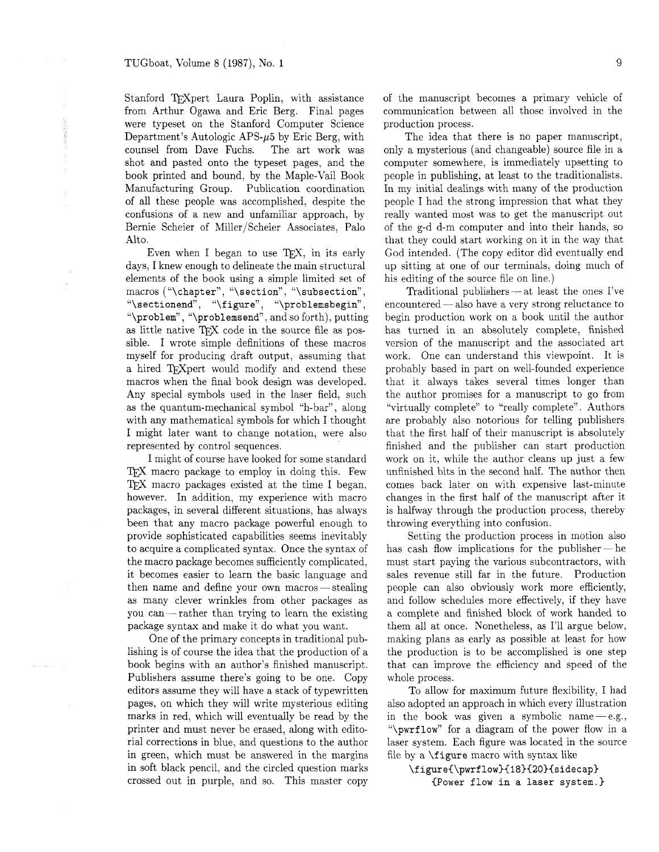Stanford TFXpert Laura Poplin, with assistance from Arthur Ogawa and Eric Berg. Final pages were typeset on the Stanford Computer Science Department's Autologic APS- $\mu$ 5 by Eric Berg, with counsel from Dave Fuchs. The art work was shot and pasted onto the typeset pages, and the book printed and bound, by the Maple-Vail Book Manufacturing Group. Publication coordination of all these people was accomplished, despite the confusions of a new and unfamiliar approach, by Bernie Scheier of Miller/Scheier Associates, Palo Alto.

Even when I began to use T<sub>E</sub>X, in its early days, I knew enough to delineate the main structural elements of the book using a simple limited set of macros ("\chapter", "\section", "\subsection", "\sectionend", "\figure", "\problemsbegin", "\problem", "\problemsend", and so forth), putting as little native TFX code in the source file as possible. I wrote simple definitions of these macros myself for producing draft output, assuming that a hired TFX pert would modify and extend these macros when the final book design was developed. Any special symbols used in the laser field, such as the quantum-mechanical symbol "h-bar", along with any mathematical symbols for which I thought I might later want to change notation, were also represented by control sequences.

I might of course have looked for some standard TFX macro package to employ in doing this. Few TEX macro packages existed at the time I began, however. In addition, my experience with macro packages, in several different situations, has always been that any macro package powerful enough to provide sophisticated capabilities seems inevitably to acquire a complicated syntax. Once the syntax of the macro package becomes sufficiently complicated, it becomes easier to learn the basic language and the macro package becomes sufficiently complicated,<br>it becomes easier to learn the basic language and<br>then name and define your own macros—stealing as many clever wrinkles from other packages as you can-rather than trying to learn the existing package syntax and make it do what you want.

One of the primary concepts in traditional publishing is of course the idea that the production of a book begins with an author's finished manuscript. Publishers assume there's going to be one. Copy editors assume they will have a stack of typewritten pages, on which they will write mysterious editing marks in red, which will eventually be read by the printer and must never be erased, along with editorial corrections in blue, and questions to the author in green, which must be answered in the margins in soft black pencil. and the circled question marks crossed out in purple, and so. This master copy of the manuscript becomes a primary vehicle of communication between all those involved in the production process.

The idea that there is no paper manuscript, only a mysterious (and changeable) source file in a computer somewhere, is immediately upsetting to people in publishing, at least to the traditionalists. In my initial dealings with many of the production people I had the strong impression that what they really wanted most was to get the manuscript out of the g-d d-m computer and into their hands, so that they could start working on it in the way that God intended. (The copy editor did eventually end up sitting at one of our terminals, doing much of<br>his editing of the source file on line.)<br>Traditional publishers — at least the ones I've his editing of the source file on line.)

Traditional publishers  $-$  at least the ones I've<br>encountered  $-$  also have a very strong reluctance to begin production work on a book until the author has turned in an absolutely complete, finished version of the manuscript and the associated art work. One can understand this viewpoint. It is probably based in part on well-founded experience that it always takes several times longer than the author promises for a manuscript to go from "virtually complete" to "really complete". Authors are probably also notorious for telling publishers that the first half of their manuscript is absolutely finished and the publisher can start production work on it, while the author cleans up just a few unfinished bits in the second half. The author then comes back later on with expensive last-minute changes in the first half of the manuscript after it is halfway through the production process, thereby throwing everything into confusion.

Setting the production process in motion also has cash flow implications for the publisher  $-$  he must start paying the various subcontractors, with sales revenue still far in the future. Production people can also obviously work more efficiently, and follow schedules more effectively, if they have a complete and finished block of work handed to them all at once. Nonetheless, as I'll argue below, making plans as early as possible at least for how the production is to be accomplished is one step that can improve the efficiency and speed of the whole process.

To allow for maximum future flexibility, I had also adopted an approach in which every illustration in the book was given a symbolic name $-e.g.,$ "\pwrflow" for a diagram of the power flow in a laser system. Each figure was located in the source file by a \figure macro with syntax like

```
\{igure{\}_{low}{18}{20}{sidecap}
(Power flow in a laser system.)
```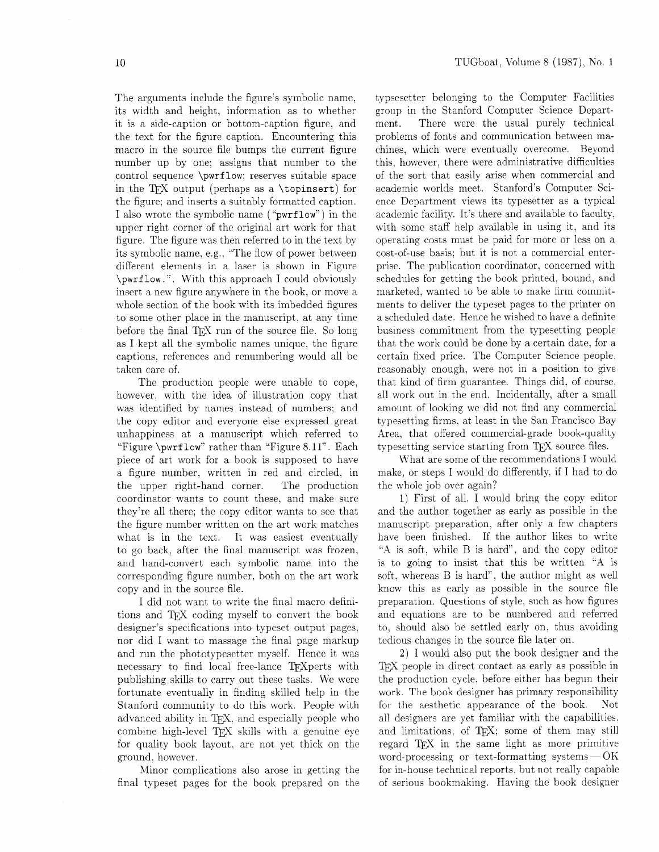The arguments include the figure's symbolic name, its width and height, information as to whether it is a side-caption or bottom-caption figure, and the text for the figure caption. Encountering this macro in the source file bumps the current figure number up by one; assigns that number to the control sequence \pwrf low: reserves suitable space in the TFX output (perhaps as a \topinsert) for the figure; and inserts a suitably formatted caption. I also wrote the symbolic name ("pwrf low") in the upper right corner of the original art work for that figure. The figure was then referred to in the test by its symbolic name, e.g., "The flow of power between different elements in a laser is shown in Figure \pwrf low. ". With this approach I could obviously insert a new figure anywhere in the book. or move a whole section of the book with its imbedded figures to some other place in the manuscript. at any time before the final TEX run of the source file. So long as I kept all the symbolic names unique, the figure captions. references and renumbering would all be taken care of.

The production people were unable to cope, however, with the idea of illustration copy that was identified by names instead of numbers: and the copy editor and everyone else expressed great unhappiness at a manuscript which referred to "Figure \pwrf low" rather than "Figure 8 11". Each piece of art work for a book is supposed to have a figure number. written in red and circled. in the upper right-hand corner. The production coordinator wants to count these. and make sure they're all there. the copy editor wants to see that the figure number written on the art work matches what is in the text. It was easiest eventually to go back, after the final manuscript was frozen. and hand-convert each symbolic name into the corresponding figure number. both on the art work copy and in the source file.

I did not want to wrlte the final macro definitions and TFX coding myself to convert the book designer's specifications into typeset output pages. nor did I want to massage the final page markup and run the phototypesetter myself. Hence it was necessary to find local free-lance TEXperts with publishing skills to carry out these tasks. We were fortunate eventually in finding skilled help in the Stanford community to do this work. People with advanced ability in T<sub>F</sub>X, and especially people who combine high-level TEX skills with a genuine eye for quality book layout. are not yet thick on the ground. however.

Minor complications also arose in getting the final typeset pages for the book prepared on the typsesetter belonging to the Computer Facilities group in the Stanford Computer Science Department. There were the usual purely technical problems of fonts and communication between machines, which were eventually overcome. Beyond this, however. there were administrative difficulties of the sort that easily arise when commercial and academic worlds meet. Stanford's Computer Science Department views its typesetter as a typical academic facility. It's there and available to faculty. with some staff help available in using it, and its operating costs must be paid for more or less on a cost-of-use basis: but it is not a commercial enterprise. The publication coordinator, concerned with schedules for getting the book printed. bound, and marketed, wanted to be able to make firm commitments to deliver the typeset pages to the printer on a scheduled date. Hence he wished to have a definite business commitment from the typesetting people that the work could be done by a certain date. for a certain fixed price. The Computer Science people. reasonably enough, were not in a position to give that kind of firm guarantee. Things did. of course, all work out in the end. Incidentally, after a small amount of looking we did not find any commercial typesetting firms. at least in the San Francisco Bay Area. that offered commercial-grade book-quality typesetting service starting from TFX source files.

What are some of the recommendations I would make, or steps I would do differently. if I had to do the whole job over again?

1) First of all. I would bring the copy editor and the author together as early as possible in the manuscript preparation, after only a few chapters have been finished. If the author likes to write **'.A** is soft. while B is hard", and the copy editor 1s to going to insist that this be written "A is soft. whereas B is hard", the author might as well know this as early as possible in the source file preparation. Questions of style. such as how figures and equations are to be numbered and referred to. should also be settled early on. thus avoiding tedious changes in the source file later on.

2) I would also put the book designer and the TEX people in direct contact as early as possible in the production cycle, before either has begun their work. The book designer has primary responsibility for the aesthetic appearance of the book. Not all designers are yet familiar with the capabilities. and limitations. of TEX; some of them may still regard TFJ in the same light as more primitive word-processing or text-formatting systems-OK for in-house technical reports, but not really capable of serious bookmaking. Having the book designer